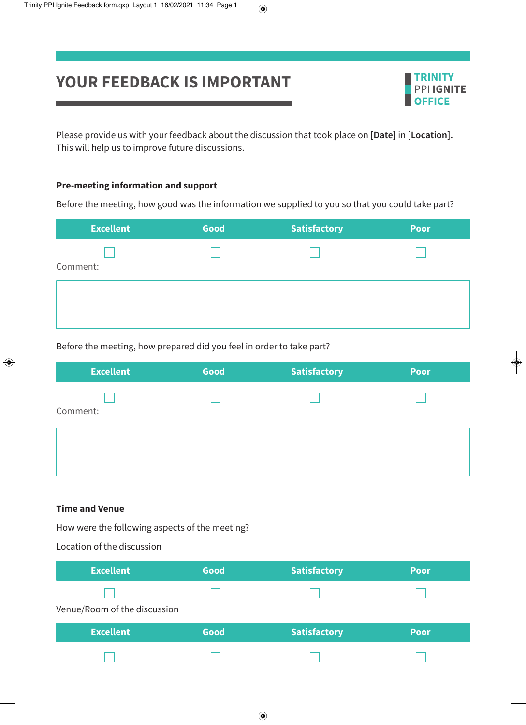# **YOUR FEEDBACK IS IMPORTANT TRINITY**



Please provide us with your feedback about the discussion that took place on **[Date]** in **[Location].** This will help us to improve future discussions.

### **Pre-meeting information and support**

Before the meeting, how good was the information we supplied to you so that you could take part?

| <b>Excellent</b> | Good | <b>Satisfactory</b> | Poor |
|------------------|------|---------------------|------|
|                  |      |                     |      |
| Comment:         |      |                     |      |
|                  |      |                     |      |
|                  |      |                     |      |
|                  |      |                     |      |

Before the meeting, how prepared did you feel in order to take part?

| <b>Excellent</b> | Good | <b>Satisfactory</b> | <b>Poor</b> |
|------------------|------|---------------------|-------------|
|                  |      |                     |             |
| Comment:         |      |                     |             |
|                  |      |                     |             |
|                  |      |                     |             |
|                  |      |                     |             |

#### **Time and Venue**

How were the following aspects of the meeting?

Location of the discussion

| <b>Excellent</b>             | Good | <b>Satisfactory</b> | <b>Poor</b> |
|------------------------------|------|---------------------|-------------|
|                              |      |                     |             |
| Venue/Room of the discussion |      |                     |             |
|                              |      |                     |             |
| <b>Excellent</b>             | Good | <b>Satisfactory</b> | <b>Poor</b> |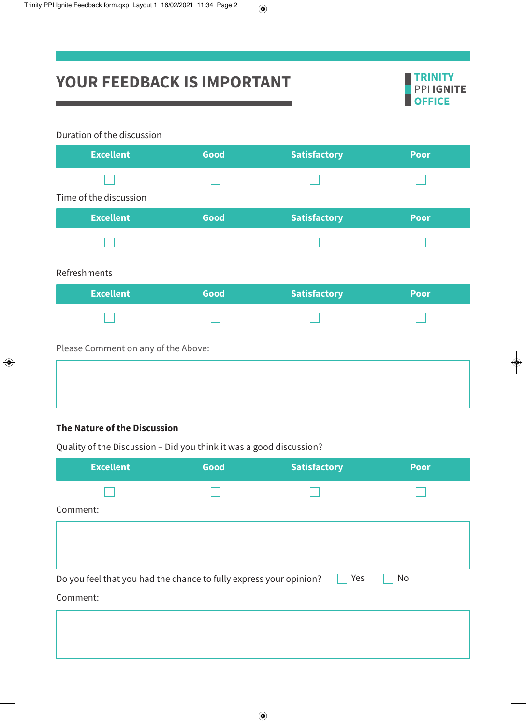

## Duration of the discussion

and the state of the state of the

| <b>Excellent</b>                    | Good | <b>Satisfactory</b> | <b>Poor</b> |
|-------------------------------------|------|---------------------|-------------|
|                                     |      |                     |             |
| Time of the discussion              |      |                     |             |
| <b>Excellent</b>                    | Good | <b>Satisfactory</b> | <b>Poor</b> |
|                                     |      |                     |             |
| Refreshments                        |      |                     |             |
| <b>Excellent</b>                    | Good | <b>Satisfactory</b> | <b>Poor</b> |
|                                     |      |                     |             |
| Please Comment on any of the Above: |      |                     |             |
|                                     |      |                     |             |
|                                     |      |                     |             |

<u> Tanzania (h. 1888).</u>

## **The Nature of the Discussion**

| <b>Excellent</b>                                                   | Good | <b>Satisfactory</b> | <b>Poor</b> |
|--------------------------------------------------------------------|------|---------------------|-------------|
|                                                                    |      |                     |             |
| Comment:                                                           |      |                     |             |
|                                                                    |      |                     |             |
|                                                                    |      |                     |             |
| Do you feel that you had the chance to fully express your opinion? |      | Yes                 | No          |
| Comment:                                                           |      |                     |             |
|                                                                    |      |                     |             |
|                                                                    |      |                     |             |
|                                                                    |      |                     |             |